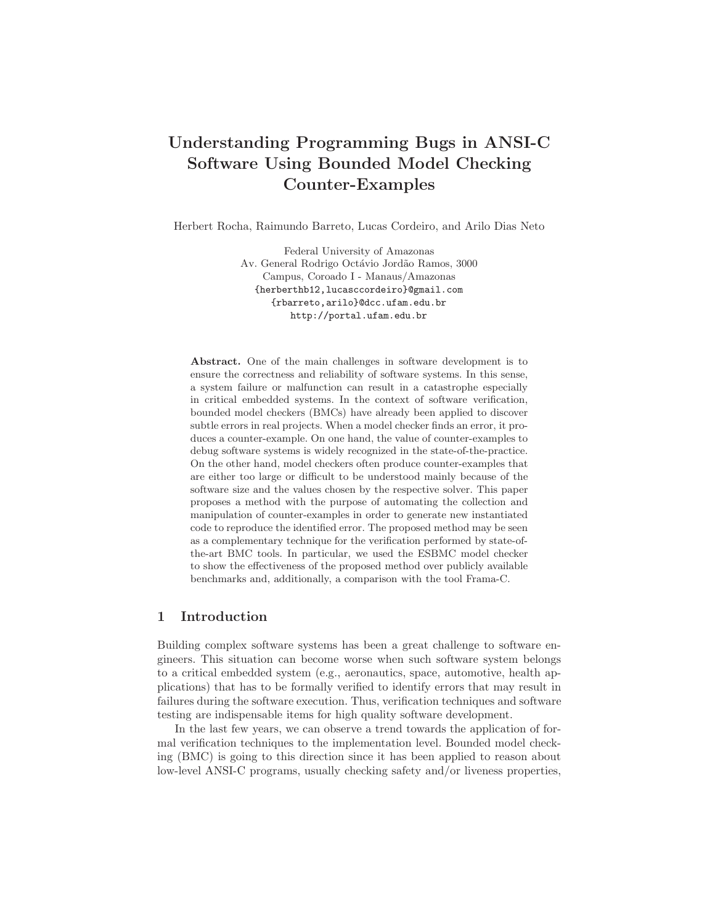# Understanding Programming Bugs in ANSI-C Software Using Bounded Model Checking Counter-Examples

Herbert Rocha, Raimundo Barreto, Lucas Cordeiro, and Arilo Dias Neto

Federal University of Amazonas Av. General Rodrigo Octávio Jordão Ramos, 3000 Campus, Coroado I - Manaus/Amazonas {herberthb12,lucasccordeiro}@gmail.com {rbarreto,arilo}@dcc.ufam.edu.br http://portal.ufam.edu.br

Abstract. One of the main challenges in software development is to ensure the correctness and reliability of software systems. In this sense, a system failure or malfunction can result in a catastrophe especially in critical embedded systems. In the context of software verification, bounded model checkers (BMCs) have already been applied to discover subtle errors in real projects. When a model checker finds an error, it produces a counter-example. On one hand, the value of counter-examples to debug software systems is widely recognized in the state-of-the-practice. On the other hand, model checkers often produce counter-examples that are either too large or difficult to be understood mainly because of the software size and the values chosen by the respective solver. This paper proposes a method with the purpose of automating the collection and manipulation of counter-examples in order to generate new instantiated code to reproduce the identified error. The proposed method may be seen as a complementary technique for the verification performed by state-ofthe-art BMC tools. In particular, we used the ESBMC model checker to show the effectiveness of the proposed method over publicly available benchmarks and, additionally, a comparison with the tool Frama-C.

## 1 Introduction

Building complex software systems has been a great challenge to software engineers. This situation can become worse when such software system belongs to a critical embedded system (e.g., aeronautics, space, automotive, health applications) that has to be formally verified to identify errors that may result in failures during the software execution. Thus, verification techniques and software testing are indispensable items for high quality software development.

In the last few years, we can observe a trend towards the application of formal verification techniques to the implementation level. Bounded model checking (BMC) is going to this direction since it has been applied to reason about low-level ANSI-C programs, usually checking safety and/or liveness properties,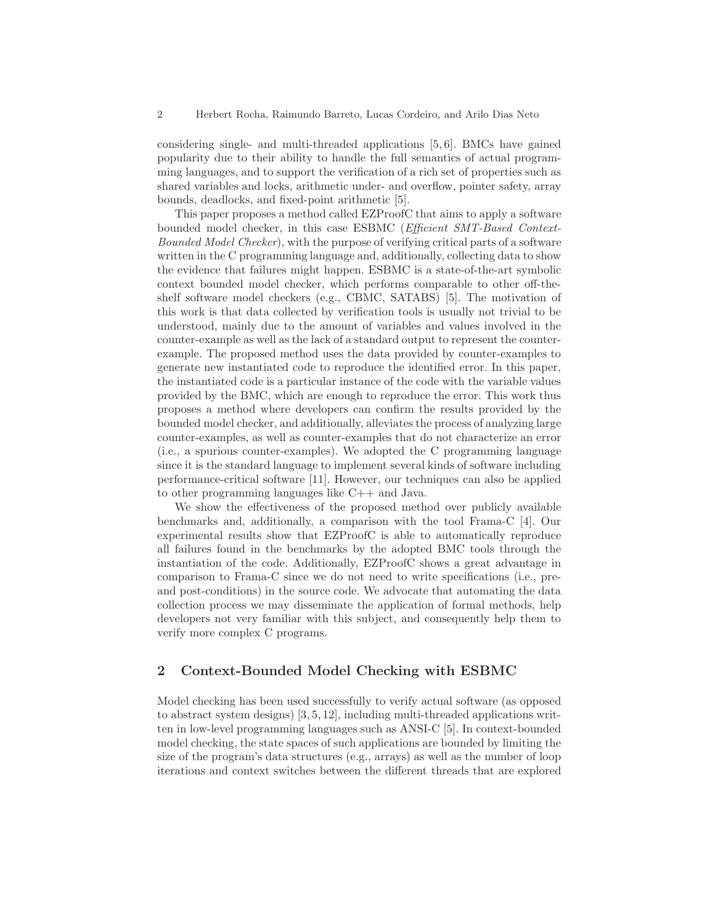considering single- and multi-threaded applications [5, 6]. BMCs have gained popularity due to their ability to handle the full semantics of actual programming languages, and to support the verification of a rich set of properties such as shared variables and locks, arithmetic under- and overflow, pointer safety, array bounds, deadlocks, and fixed-point arithmetic [5].

This paper proposes a method called EZProofC that aims to apply a software bounded model checker, in this case ESBMC (Efficient SMT-Based Context-Bounded Model Checker), with the purpose of verifying critical parts of a software written in the C programming language and, additionally, collecting data to show the evidence that failures might happen. ESBMC is a state-of-the-art symbolic context bounded model checker, which performs comparable to other off-theshelf software model checkers (e.g., CBMC, SATABS) [5]. The motivation of this work is that data collected by verification tools is usually not trivial to be understood, mainly due to the amount of variables and values involved in the counter-example as well as the lack of a standard output to represent the counterexample. The proposed method uses the data provided by counter-examples to generate new instantiated code to reproduce the identified error. In this paper, the instantiated code is a particular instance of the code with the variable values provided by the BMC, which are enough to reproduce the error. This work thus proposes a method where developers can confirm the results provided by the bounded model checker, and additionally, alleviates the process of analyzing large counter-examples, as well as counter-examples that do not characterize an error (i.e., a spurious counter-examples). We adopted the C programming language since it is the standard language to implement several kinds of software including performance-critical software [11]. However, our techniques can also be applied to other programming languages like C++ and Java.

We show the effectiveness of the proposed method over publicly available benchmarks and, additionally, a comparison with the tool Frama-C [4]. Our experimental results show that EZProofC is able to automatically reproduce all failures found in the benchmarks by the adopted BMC tools through the instantiation of the code. Additionally, EZProofC shows a great advantage in comparison to Frama-C since we do not need to write specifications (i.e., preand post-conditions) in the source code. We advocate that automating the data collection process we may disseminate the application of formal methods, help developers not very familiar with this subject, and consequently help them to verify more complex C programs.

# 2 Context-Bounded Model Checking with ESBMC

Model checking has been used successfully to verify actual software (as opposed to abstract system designs) [3, 5, 12], including multi-threaded applications written in low-level programming languages such as ANSI-C [5]. In context-bounded model checking, the state spaces of such applications are bounded by limiting the size of the program's data structures (e.g., arrays) as well as the number of loop iterations and context switches between the different threads that are explored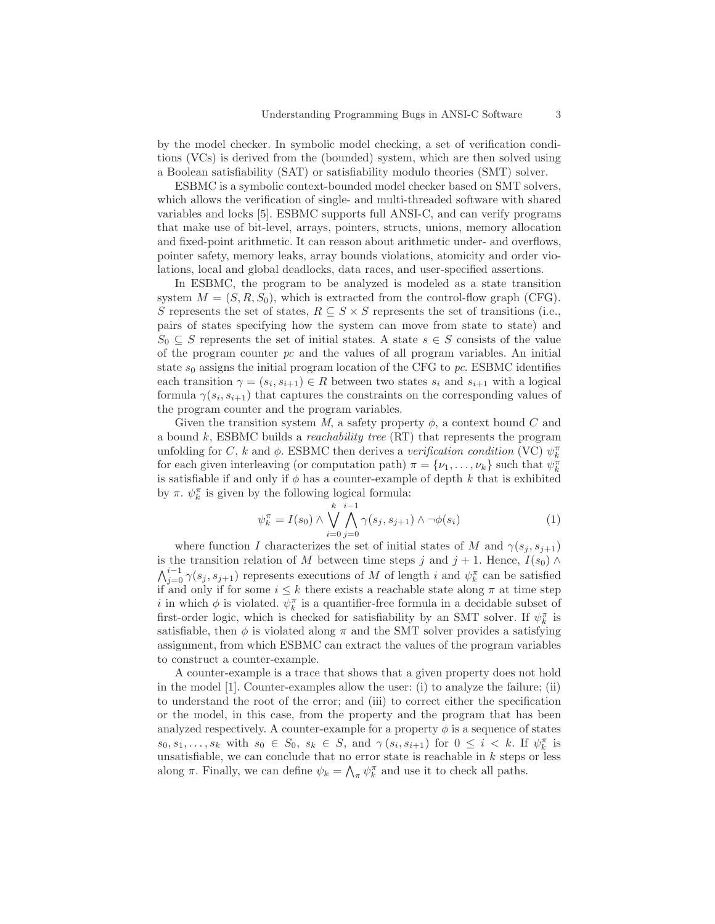by the model checker. In symbolic model checking, a set of verification conditions (VCs) is derived from the (bounded) system, which are then solved using a Boolean satisfiability (SAT) or satisfiability modulo theories (SMT) solver.

ESBMC is a symbolic context-bounded model checker based on SMT solvers, which allows the verification of single- and multi-threaded software with shared variables and locks [5]. ESBMC supports full ANSI-C, and can verify programs that make use of bit-level, arrays, pointers, structs, unions, memory allocation and fixed-point arithmetic. It can reason about arithmetic under- and overflows, pointer safety, memory leaks, array bounds violations, atomicity and order violations, local and global deadlocks, data races, and user-specified assertions.

In ESBMC, the program to be analyzed is modeled as a state transition system  $M = (S, R, S_0)$ , which is extracted from the control-flow graph (CFG). S represents the set of states,  $R \subseteq S \times S$  represents the set of transitions (i.e., pairs of states specifying how the system can move from state to state) and  $S_0 \subseteq S$  represents the set of initial states. A state  $s \in S$  consists of the value of the program counter  $pc$  and the values of all program variables. An initial state  $s_0$  assigns the initial program location of the CFG to pc. ESBMC identifies each transition  $\gamma = (s_i, s_{i+1}) \in R$  between two states  $s_i$  and  $s_{i+1}$  with a logical formula  $\gamma(s_i, s_{i+1})$  that captures the constraints on the corresponding values of the program counter and the program variables.

Given the transition system M, a safety property  $\phi$ , a context bound C and a bound  $k$ , ESBMC builds a *reachability tree*  $(RT)$  that represents the program unfolding for C, k and  $\phi$ . ESBMC then derives a verification condition (VC)  $\psi_k^{\pi}$ for each given interleaving (or computation path)  $\pi = {\nu_1, ..., \nu_k}$  such that  $\psi_k^{\pi}$ is satisfiable if and only if  $\phi$  has a counter-example of depth k that is exhibited by  $\pi$ .  $\psi_k^{\pi}$  is given by the following logical formula:

$$
\psi_k^{\pi} = I(s_0) \wedge \bigvee_{i=0}^k \bigwedge_{j=0}^{i-1} \gamma(s_j, s_{j+1}) \wedge \neg \phi(s_i)
$$
\n(1)

where function I characterizes the set of initial states of M and  $\gamma(s_i, s_{i+1})$ is the transition relation of M between time steps j and  $j + 1$ . Hence,  $I(s_0) \wedge$  $\bigwedge_{j=0}^{i-1} \gamma(s_j, s_{j+1})$  represents executions of M of length i and  $\psi_k^{\pi}$  can be satisfied if and only if for some  $i \leq k$  there exists a reachable state along  $\pi$  at time step  $i$  in which  $\phi$  is violated.  $\psi^{\pi}_k$  is a quantifier-free formula in a decidable subset of first-order logic, which is checked for satisfiability by an SMT solver. If  $\psi_k^{\pi}$  is satisfiable, then  $\phi$  is violated along  $\pi$  and the SMT solver provides a satisfying assignment, from which ESBMC can extract the values of the program variables to construct a counter-example.

A counter-example is a trace that shows that a given property does not hold in the model [1]. Counter-examples allow the user: (i) to analyze the failure; (ii) to understand the root of the error; and (iii) to correct either the specification or the model, in this case, from the property and the program that has been analyzed respectively. A counter-example for a property  $\phi$  is a sequence of states  $s_0, s_1, \ldots, s_k$  with  $s_0 \in S_0$ ,  $s_k \in S$ , and  $\gamma(s_i, s_{i+1})$  for  $0 \leq i \leq k$ . If  $\psi_k^{\pi}$  is unsatisfiable, we can conclude that no error state is reachable in  $k$  steps or less along  $\pi$ . Finally, we can define  $\psi_k = \bigwedge_{\pi} \psi_k^{\pi}$  and use it to check all paths.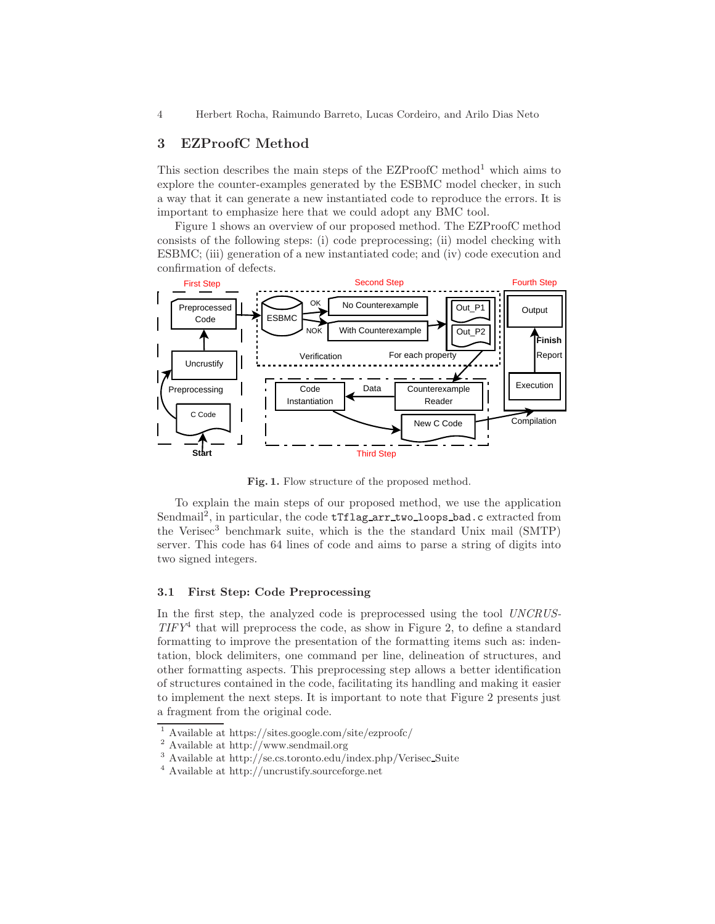# 3 EZProofC Method

This section describes the main steps of the  $EZProofC$  method<sup>1</sup> which aims to explore the counter-examples generated by the ESBMC model checker, in such a way that it can generate a new instantiated code to reproduce the errors. It is important to emphasize here that we could adopt any BMC tool.

Figure 1 shows an overview of our proposed method. The EZProofC method consists of the following steps: (i) code preprocessing; (ii) model checking with ESBMC; (iii) generation of a new instantiated code; and (iv) code execution and confirmation of defects.



Fig. 1. Flow structure of the proposed method.

To explain the main steps of our proposed method, we use the application Sendmail<sup>2</sup>, in particular, the code tTflag\_arr\_two\_loops\_bad.c extracted from the Verisec<sup>3</sup> benchmark suite, which is the the standard Unix mail  $(SMTP)$ server. This code has 64 lines of code and aims to parse a string of digits into two signed integers.

### 3.1 First Step: Code Preprocessing

In the first step, the analyzed code is preprocessed using the tool UNCRUS- $TIFY<sup>4</sup>$  that will preprocess the code, as show in Figure 2, to define a standard formatting to improve the presentation of the formatting items such as: indentation, block delimiters, one command per line, delineation of structures, and other formatting aspects. This preprocessing step allows a better identification of structures contained in the code, facilitating its handling and making it easier to implement the next steps. It is important to note that Figure 2 presents just a fragment from the original code.

<sup>1</sup> Available at https://sites.google.com/site/ezproofc/

<sup>2</sup> Available at http://www.sendmail.org

 $^3$  Available at http://se.cs.toronto.edu/index.php/Verisec\_Suite

<sup>4</sup> Available at http://uncrustify.sourceforge.net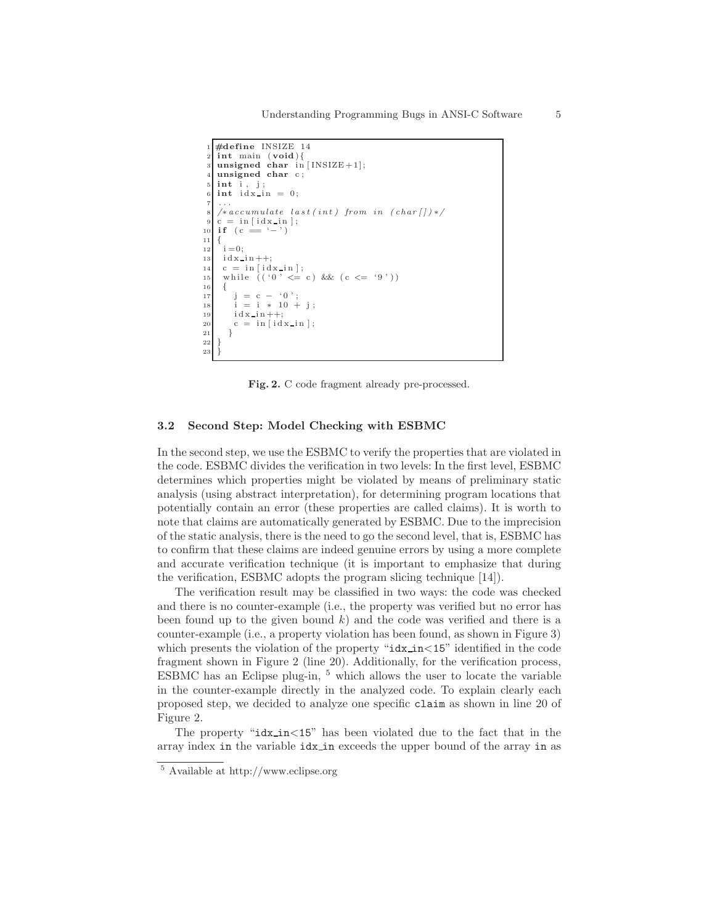```
#define INSIZE 14
       \int \int \ln t \cdot \text{main} \left( \text{void} \right)unsigned char in [INSIZE + 1];
      unsigned char c;
      int i, j;
      \int \ln t \, dt \, dx \, dx = 0;
  7 . . .
       \sqrt{\frac{k}{\pi}} /* accumulate last (int) from in (char []) */
      c = \text{in} [\text{idx} \cdot \text{in}];10 if (c == ' -')\frac{11}{12}\begin{array}{cc} 12 \\ 13 \end{array} i =0;
\begin{array}{c|c}\n\text{13} & \text{idx in++;} \\
\text{14} & \text{c} = \text{in} \text{id:} \n\end{array}\begin{array}{ll} \n\text{14} & \text{c = in} \left[ \text{idx in} \right]; \\
\text{15} & \text{while} \left( \left( \begin{array}{c} 0 \\ 0 \end{array} \right) \right) <= \\
\end{array}while ((0, 0, \leq c) & (c \leq 0, 0))\frac{16}{17}j = c - ' 0';\begin{array}{rcl} 18 & 18 & 10 + j; \\ 19 & 18 & 14 \end{array}id x_i in ++;20 c = in [id x in ];
\overline{21}\overline{22}23 }
```
Fig. 2. C code fragment already pre-processed.

### 3.2 Second Step: Model Checking with ESBMC

In the second step, we use the ESBMC to verify the properties that are violated in the code. ESBMC divides the verification in two levels: In the first level, ESBMC determines which properties might be violated by means of preliminary static analysis (using abstract interpretation), for determining program locations that potentially contain an error (these properties are called claims). It is worth to note that claims are automatically generated by ESBMC. Due to the imprecision of the static analysis, there is the need to go the second level, that is, ESBMC has to confirm that these claims are indeed genuine errors by using a more complete and accurate verification technique (it is important to emphasize that during the verification, ESBMC adopts the program slicing technique [14]).

The verification result may be classified in two ways: the code was checked and there is no counter-example (i.e., the property was verified but no error has been found up to the given bound  $k$ ) and the code was verified and there is a counter-example (i.e., a property violation has been found, as shown in Figure 3) which presents the violation of the property "idx in  $\leq 15$ " identified in the code fragment shown in Figure 2 (line 20). Additionally, for the verification process, ESBMC has an Eclipse plug-in,  $5$  which allows the user to locate the variable in the counter-example directly in the analyzed code. To explain clearly each proposed step, we decided to analyze one specific claim as shown in line 20 of Figure 2.

The property "idx in<15" has been violated due to the fact that in the array index in the variable idx in exceeds the upper bound of the array in as

<sup>5</sup> Available at http://www.eclipse.org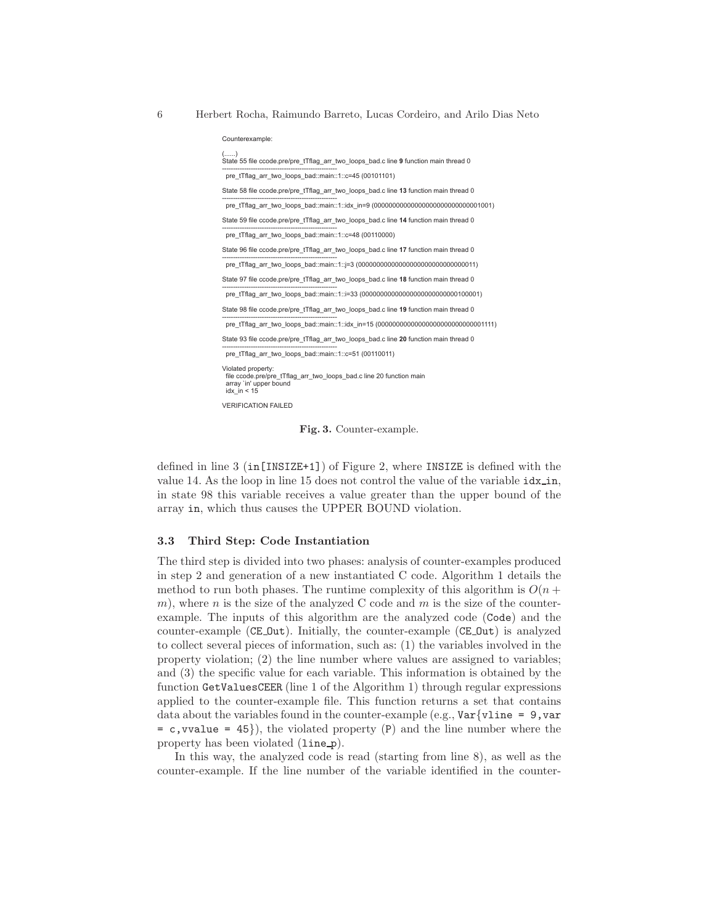Counterexample: (......)<br>State 55 file ccode.pre/pre\_tTflag\_arr\_two\_loops\_bad.c line **9** function main thread 0 ---------------------------------------------------- pre\_tTflag\_arr\_two\_loops\_bad::main::1::c=45 (00101101) State 58 file ccode.pre/pre\_tTflag\_arr\_two\_loops\_bad.c line 13 function main thread 0 ---------------------------------------------------- pre\_tTflag\_arr\_two\_loops\_bad::main::1::idx\_in=9 (00000000000000000000000000001001) State 59 file ccode.pre/pre\_tTflag\_arr\_two\_loops\_bad.c line 14 function main thread 0 ---------------------------------------------------- pre\_tTflag\_arr\_two\_loops\_bad::main::1::c=48 (00110000) State 96 file ccode.pre/pre\_tTflag\_arr\_two\_loops\_bad.c line 17 function main thread 0 ---------------------------------------------------- pre\_tTflag\_arr\_two\_loops\_bad::main::1::j=3 (00000000000000000000000000000011) State 97 file ccode.pre/pre\_tTflag\_arr\_two\_loops\_bad.c line 18 function main thread 0 ---------------------------------------------------- pre\_tTflag\_arr\_two\_loops\_bad::main::1::i=33 (00000000000000000000000000100001) State 98 file ccode.pre/pre\_tTflag\_arr\_two\_loops\_bad.c line 19 function main thread 0 ---------------------------------------------------- pre\_tTflag\_arr\_two\_loops\_bad::main::1::idx\_in=15 (00000000000000000000000000001111) State 93 file ccode.pre/pre\_tTflag\_arr\_two\_loops\_bad.c line 20 function main thread 0 ---------------------------------------------------- pre\_tTflag\_arr\_two\_loops\_bad::main::1::c=51 (00110011) Violated property: file ccode.pre/pre\_tTflag\_arr\_two\_loops\_bad.c line 20 function main array `in' upper bound idx\_in < 15 VERIFICATION FAILED

Fig. 3. Counter-example.

defined in line 3  $(in[INSIZE+1])$  of Figure 2, where INSIZE is defined with the value 14. As the loop in line 15 does not control the value of the variable  $idx_in$ , in state 98 this variable receives a value greater than the upper bound of the array in, which thus causes the UPPER BOUND violation.

### 3.3 Third Step: Code Instantiation

The third step is divided into two phases: analysis of counter-examples produced in step 2 and generation of a new instantiated C code. Algorithm 1 details the method to run both phases. The runtime complexity of this algorithm is  $O(n +$ m), where n is the size of the analyzed C code and m is the size of the counterexample. The inputs of this algorithm are the analyzed code (Code) and the counter-example (CE Out). Initially, the counter-example (CE Out) is analyzed to collect several pieces of information, such as: (1) the variables involved in the property violation; (2) the line number where values are assigned to variables; and (3) the specific value for each variable. This information is obtained by the function GetValuesCEER (line 1 of the Algorithm 1) through regular expressions applied to the counter-example file. This function returns a set that contains data about the variables found in the counter-example (e.g.,  $Var\{vline = 9, var$ )  $= c$ , vvalue  $= 45$ , the violated property (P) and the line number where the property has been violated (line\_p).

In this way, the analyzed code is read (starting from line 8), as well as the counter-example. If the line number of the variable identified in the counter-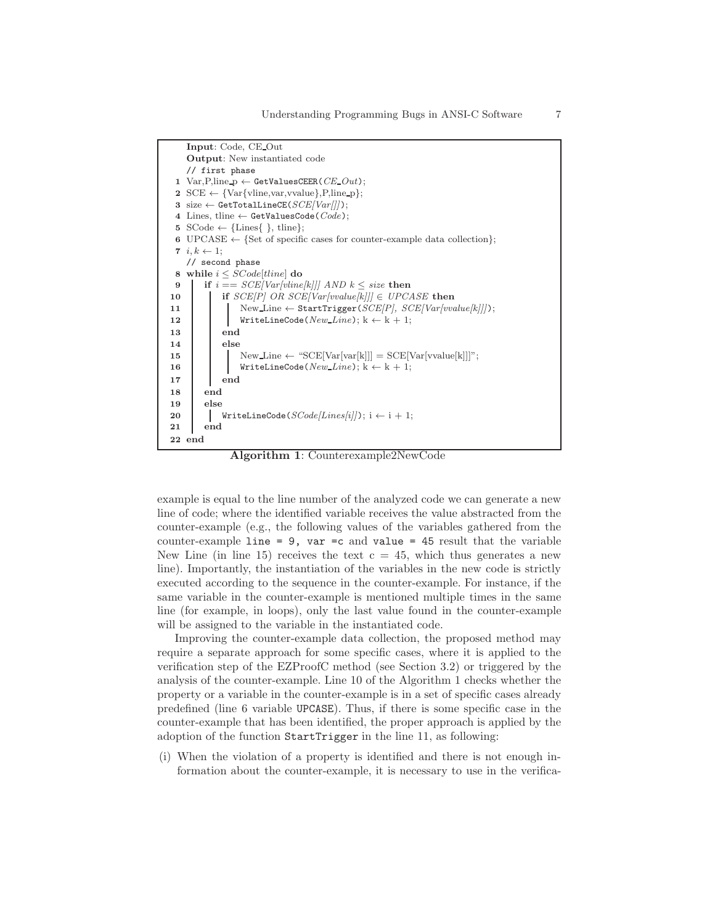|    | Input: Code, CE_Out                                                                                                                                                           |  |  |  |  |  |  |  |
|----|-------------------------------------------------------------------------------------------------------------------------------------------------------------------------------|--|--|--|--|--|--|--|
|    | <b>Output:</b> New instantiated code                                                                                                                                          |  |  |  |  |  |  |  |
|    | // first phase                                                                                                                                                                |  |  |  |  |  |  |  |
|    | 1 Var, P, line $p \leftarrow$ GetValuesCEER ( <i>CE_Out</i> );                                                                                                                |  |  |  |  |  |  |  |
|    | 2 SCE $\leftarrow$ {Var{vline, var, vvalue}, P, line_p};                                                                                                                      |  |  |  |  |  |  |  |
|    | 3 size $\leftarrow$ GetTotalLineCE( $SCE/Var[$ );                                                                                                                             |  |  |  |  |  |  |  |
|    | 4 Lines, tline $\leftarrow$ GetValuesCode( $Code$ );                                                                                                                          |  |  |  |  |  |  |  |
|    | $5 \text{ SCode} \leftarrow \{\text{Lines}\}\;$ , tline};                                                                                                                     |  |  |  |  |  |  |  |
| 6  | $UPCASE \leftarrow \{Set \space of \space specific \space cases \space for \space counter-example \space data \space collection\};$                                           |  |  |  |  |  |  |  |
|    | 7 $i, k \leftarrow 1$ ;                                                                                                                                                       |  |  |  |  |  |  |  |
|    | // second phase                                                                                                                                                               |  |  |  |  |  |  |  |
| 8  | while $i \leq SCode[time]$ do                                                                                                                                                 |  |  |  |  |  |  |  |
| 9  | if $i == \textit{SCE}$ [Var[vline]k]] AND $k \leq size$ then                                                                                                                  |  |  |  |  |  |  |  |
| 10 | if $SCE[P]$ OR $SCE[Var[vvalue[k]]] \in UPCASE$ then                                                                                                                          |  |  |  |  |  |  |  |
| 11 | New_Line $\leftarrow$ StartTrigger(SCE[P], SCE[Var[vvalue[k]]);                                                                                                               |  |  |  |  |  |  |  |
| 12 | WriteLineCode(New_Line); $k \leftarrow k + 1$ ;                                                                                                                               |  |  |  |  |  |  |  |
| 13 | end                                                                                                                                                                           |  |  |  |  |  |  |  |
| 14 | else                                                                                                                                                                          |  |  |  |  |  |  |  |
| 15 | $\begin{aligned} &{\rm New\_Line} \leftarrow \text{``SCE[Var[var[k]]]} = {\rm SCE[Var[value[k]]]''} ; \\ &{\tt WriteLineCode(New\_Line)}; \, k \leftarrow k+1; \end{aligned}$ |  |  |  |  |  |  |  |
| 16 |                                                                                                                                                                               |  |  |  |  |  |  |  |
| 17 | end                                                                                                                                                                           |  |  |  |  |  |  |  |
| 18 | end                                                                                                                                                                           |  |  |  |  |  |  |  |
| 19 | else                                                                                                                                                                          |  |  |  |  |  |  |  |
| 20 | WriteLineCode( $SCode Lines[i] $ ); i $\leftarrow$ i + 1;                                                                                                                     |  |  |  |  |  |  |  |
| 21 | end                                                                                                                                                                           |  |  |  |  |  |  |  |
|    | $22$ end                                                                                                                                                                      |  |  |  |  |  |  |  |

Algorithm 1: Counterexample2NewCode

example is equal to the line number of the analyzed code we can generate a new line of code; where the identified variable receives the value abstracted from the counter-example (e.g., the following values of the variables gathered from the counter-example  $line = 9$ , var = c and value = 45 result that the variable New Line (in line 15) receives the text  $c = 45$ , which thus generates a new line). Importantly, the instantiation of the variables in the new code is strictly executed according to the sequence in the counter-example. For instance, if the same variable in the counter-example is mentioned multiple times in the same line (for example, in loops), only the last value found in the counter-example will be assigned to the variable in the instantiated code.

Improving the counter-example data collection, the proposed method may require a separate approach for some specific cases, where it is applied to the verification step of the EZProofC method (see Section 3.2) or triggered by the analysis of the counter-example. Line 10 of the Algorithm 1 checks whether the property or a variable in the counter-example is in a set of specific cases already predefined (line 6 variable UPCASE). Thus, if there is some specific case in the counter-example that has been identified, the proper approach is applied by the adoption of the function StartTrigger in the line 11, as following:

(i) When the violation of a property is identified and there is not enough information about the counter-example, it is necessary to use in the verifica-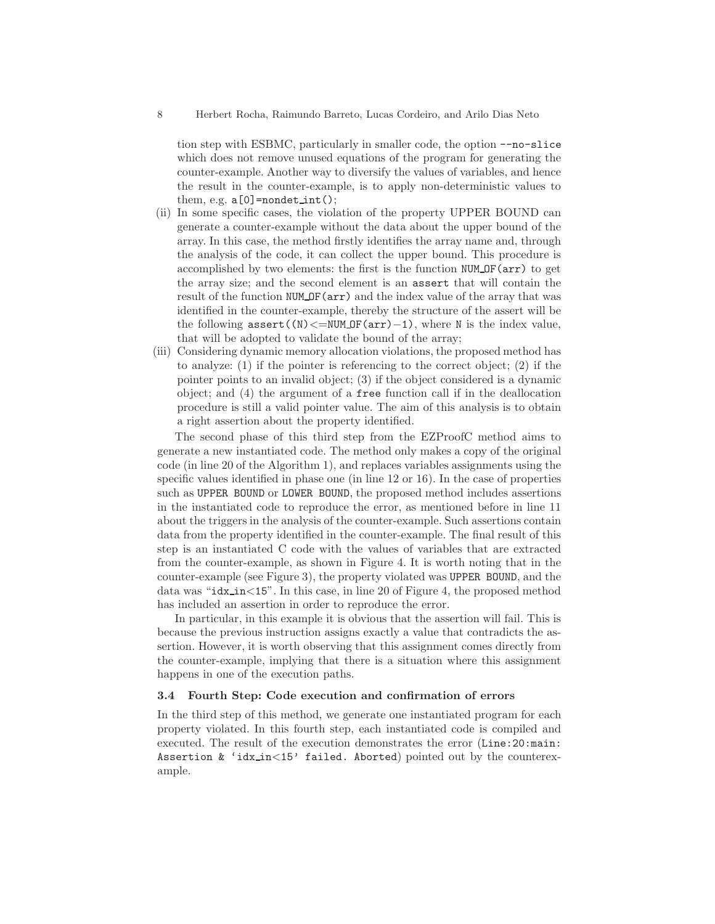tion step with ESBMC, particularly in smaller code, the option --no-slice which does not remove unused equations of the program for generating the counter-example. Another way to diversify the values of variables, and hence the result in the counter-example, is to apply non-deterministic values to them, e.g.  $a[0]$ =nondet\_int();

- (ii) In some specific cases, the violation of the property UPPER BOUND can generate a counter-example without the data about the upper bound of the array. In this case, the method firstly identifies the array name and, through the analysis of the code, it can collect the upper bound. This procedure is accomplished by two elements: the first is the function NUM OF(arr) to get the array size; and the second element is an assert that will contain the result of the function NUM OF(arr) and the index value of the array that was identified in the counter-example, thereby the structure of the assert will be the following  $assert((N) \leq NUMOF(arr)-1)$ , where N is the index value, that will be adopted to validate the bound of the array;
- (iii) Considering dynamic memory allocation violations, the proposed method has to analyze: (1) if the pointer is referencing to the correct object; (2) if the pointer points to an invalid object; (3) if the object considered is a dynamic object; and (4) the argument of a free function call if in the deallocation procedure is still a valid pointer value. The aim of this analysis is to obtain a right assertion about the property identified.

The second phase of this third step from the EZProofC method aims to generate a new instantiated code. The method only makes a copy of the original code (in line 20 of the Algorithm 1), and replaces variables assignments using the specific values identified in phase one (in line 12 or 16). In the case of properties such as UPPER BOUND or LOWER BOUND, the proposed method includes assertions in the instantiated code to reproduce the error, as mentioned before in line 11 about the triggers in the analysis of the counter-example. Such assertions contain data from the property identified in the counter-example. The final result of this step is an instantiated C code with the values of variables that are extracted from the counter-example, as shown in Figure 4. It is worth noting that in the counter-example (see Figure 3), the property violated was UPPER BOUND, and the data was "idx in<15". In this case, in line 20 of Figure 4, the proposed method has included an assertion in order to reproduce the error.

In particular, in this example it is obvious that the assertion will fail. This is because the previous instruction assigns exactly a value that contradicts the assertion. However, it is worth observing that this assignment comes directly from the counter-example, implying that there is a situation where this assignment happens in one of the execution paths.

#### 3.4 Fourth Step: Code execution and confirmation of errors

In the third step of this method, we generate one instantiated program for each property violated. In this fourth step, each instantiated code is compiled and executed. The result of the execution demonstrates the error (Line:20:main: Assertion & 'idx\_in<15' failed. Aborted) pointed out by the counterexample.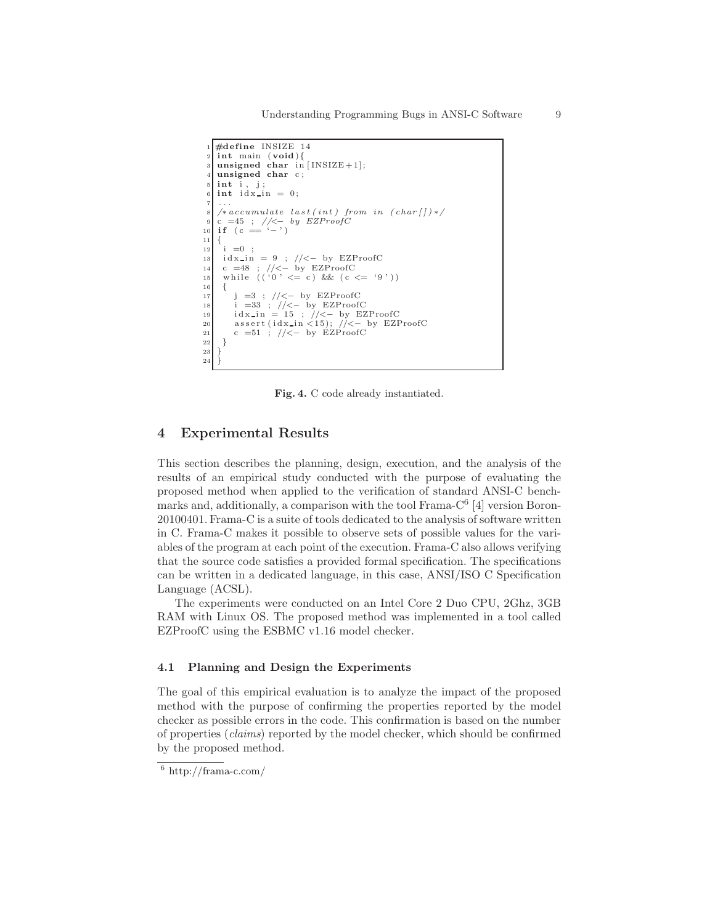```
#define INSIZE 14
    int main (void){
    unsigned char in [INSIZE + 1];
    unsigned char c;
    int i, j;
    \int \ln t \, dt \, dx \, dx = 0;
 7 . . .
    \sqrt{\frac{\text{88}}{1}} /* accumulate last (int) from in (char []) */
9 c =45 ; //<− by EZProofC
10 i f ( c == '− ' )
\frac{11}{12}\begin{bmatrix} 12 \\ 13 \end{bmatrix} i =0 ;<br>idx_in
13 id x in = 9 ; //<- by EZProofC
14 c =48 ; //<- by EZProofC<br>while ((0 \le c) \& (c \le -9))\frac{16}{17}j =3 ; //<- by EZProofC
18 i =33 ; //<− by EZProofC
19 idx_in = 15 ; //<− by EZProofC<br>20 assert(idx_in <15); //<− by EZProofC
21 c =51 ; //<- by \angle EZProofC
^{22}\overline{23}24 }
```
Fig. 4. C code already instantiated.

## 4 Experimental Results

This section describes the planning, design, execution, and the analysis of the results of an empirical study conducted with the purpose of evaluating the proposed method when applied to the verification of standard ANSI-C benchmarks and, additionally, a comparison with the tool Frama-C<sup>6</sup> [4] version Boron-20100401. Frama-C is a suite of tools dedicated to the analysis of software written in C. Frama-C makes it possible to observe sets of possible values for the variables of the program at each point of the execution. Frama-C also allows verifying that the source code satisfies a provided formal specification. The specifications can be written in a dedicated language, in this case, ANSI/ISO C Specification Language (ACSL).

The experiments were conducted on an Intel Core 2 Duo CPU, 2Ghz, 3GB RAM with Linux OS. The proposed method was implemented in a tool called EZProofC using the ESBMC v1.16 model checker.

### 4.1 Planning and Design the Experiments

The goal of this empirical evaluation is to analyze the impact of the proposed method with the purpose of confirming the properties reported by the model checker as possible errors in the code. This confirmation is based on the number of properties (claims) reported by the model checker, which should be confirmed by the proposed method.

 $6$  http://frama-c.com/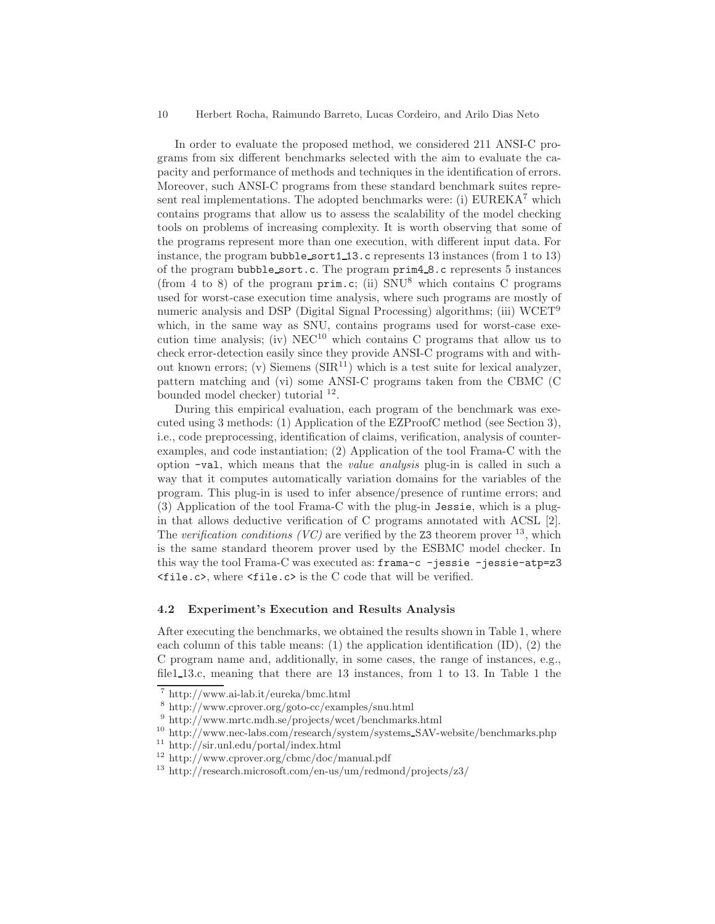In order to evaluate the proposed method, we considered 211 ANSI-C programs from six different benchmarks selected with the aim to evaluate the capacity and performance of methods and techniques in the identification of errors. Moreover, such ANSI-C programs from these standard benchmark suites represent real implementations. The adopted benchmarks were: (i)  $EUREKA^7$  which contains programs that allow us to assess the scalability of the model checking tools on problems of increasing complexity. It is worth observing that some of the programs represent more than one execution, with different input data. For instance, the program bubble sort1 13.c represents 13 instances (from 1 to 13) of the program bubble sort.c. The program prim4 8.c represents 5 instances (from 4 to 8) of the program  $\text{prim.c}$ ; (ii)  $\text{SNU}^8$  which contains C programs used for worst-case execution time analysis, where such programs are mostly of numeric analysis and DSP (Digital Signal Processing) algorithms; (iii) WCET<sup>9</sup> which, in the same way as SNU, contains programs used for worst-case execution time analysis; (iv)  $NEC^{10}$  which contains C programs that allow us to check error-detection easily since they provide ANSI-C programs with and without known errors; (v) Siemens  $(SIR<sup>11</sup>)$  which is a test suite for lexical analyzer, pattern matching and (vi) some ANSI-C programs taken from the CBMC (C bounded model checker) tutorial <sup>12</sup>.

During this empirical evaluation, each program of the benchmark was executed using 3 methods: (1) Application of the EZProofC method (see Section 3), i.e., code preprocessing, identification of claims, verification, analysis of counterexamples, and code instantiation; (2) Application of the tool Frama-C with the option -val, which means that the value analysis plug-in is called in such a way that it computes automatically variation domains for the variables of the program. This plug-in is used to infer absence/presence of runtime errors; and (3) Application of the tool Frama-C with the plug-in Jessie, which is a plugin that allows deductive verification of C programs annotated with ACSL [2]. The verification conditions (VC) are verified by the **Z3** theorem prover <sup>13</sup>, which is the same standard theorem prover used by the ESBMC model checker. In this way the tool Frama-C was executed as: frama-c -jessie -jessie-atp=z3 <file.c>, where <file.c> is the C code that will be verified.

### 4.2 Experiment's Execution and Results Analysis

After executing the benchmarks, we obtained the results shown in Table 1, where each column of this table means: (1) the application identification (ID), (2) the C program name and, additionally, in some cases, the range of instances, e.g., file1.13.c, meaning that there are 13 instances, from 1 to 13. In Table 1 the

<sup>13</sup> http://research.microsoft.com/en-us/um/redmond/projects/z3/

<sup>7</sup> http://www.ai-lab.it/eureka/bmc.html

<sup>8</sup> http://www.cprover.org/goto-cc/examples/snu.html

<sup>9</sup> http://www.mrtc.mdh.se/projects/wcet/benchmarks.html

<sup>10</sup> http://www.nec-labs.com/research/system/systems SAV-website/benchmarks.php

<sup>11</sup> http://sir.unl.edu/portal/index.html

<sup>12</sup> http://www.cprover.org/cbmc/doc/manual.pdf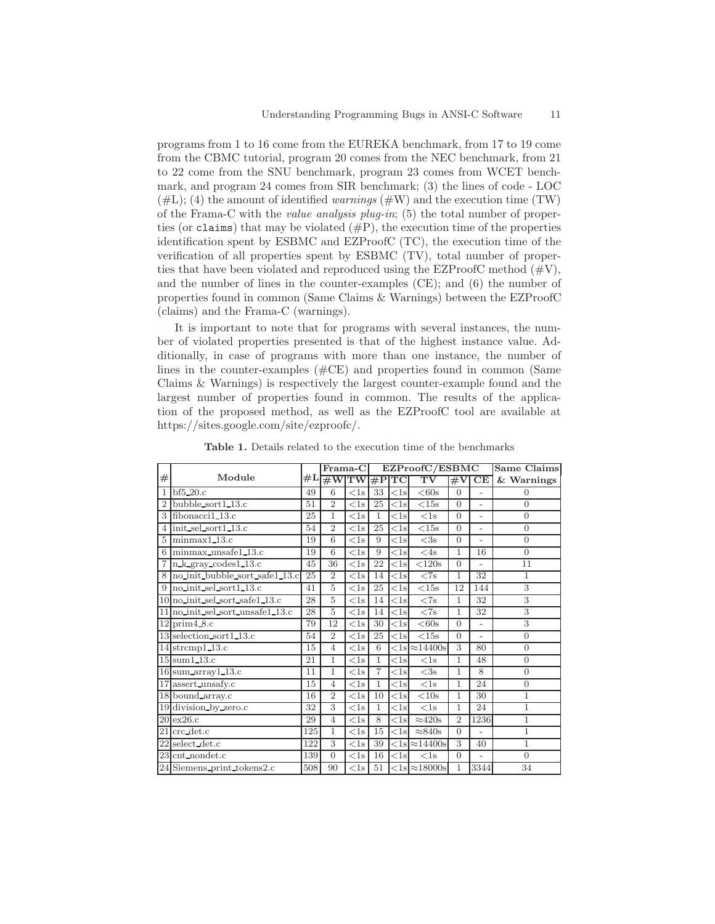programs from 1 to 16 come from the EUREKA benchmark, from 17 to 19 come from the CBMC tutorial, program 20 comes from the NEC benchmark, from 21 to 22 come from the SNU benchmark, program 23 comes from WCET benchmark, and program 24 comes from SIR benchmark; (3) the lines of code - LOC  $(\#L);$  (4) the amount of identified *warnings* ( $\#W$ ) and the execution time (TW) of the Frama-C with the *value analysis plug-in*; (5) the total number of properties (or claims) that may be violated  $(\#P)$ , the execution time of the properties identification spent by ESBMC and EZProofC (TC), the execution time of the verification of all properties spent by ESBMC (TV), total number of properties that have been violated and reproduced using the EZProofC method  $(\#V)$ , and the number of lines in the counter-examples (CE); and (6) the number of properties found in common (Same Claims & Warnings) between the EZProofC (claims) and the Frama-C (warnings).

It is important to note that for programs with several instances, the number of violated properties presented is that of the highest instance value. Additionally, in case of programs with more than one instance, the number of lines in the counter-examples (#CE) and properties found in common (Same Claims & Warnings) is respectively the largest counter-example found and the largest number of properties found in common. The results of the application of the proposed method, as well as the EZProofC tool are available at https://sites.google.com/site/ezproofc/.

|                |                                      |                | $\operatorname{Frame-C}$ |        | EZProofC/ESBMC |           |                         |                   | Same Claims              |                  |
|----------------|--------------------------------------|----------------|--------------------------|--------|----------------|-----------|-------------------------|-------------------|--------------------------|------------------|
| $^{\#}$        | Module                               | $\#\mathrm{L}$ | $#W$ TW                  |        | #P             | <b>TC</b> | $\overline{\text{TV}}$  | $\# \overline{V}$ | CE                       | & Warnings       |
| 1              | $bf5\_20.c$                          | 49             | 6                        | $<$ 1s | 33             | $<$ 1s    | < 60s                   | $\Omega$          | $\overline{a}$           | $\overline{0}$   |
| $\overline{2}$ | bubble_sort1_13.c                    | 51             | $\overline{2}$           | $<$ 1s | 25             | $<$ 1s    | <15s                    | $\Omega$          | $\overline{a}$           | $\overline{0}$   |
| 3              | fibonacci1_13.c                      | 25             | $\mathbf{1}$             | $<$ 1s | 1              | $<$ 1s    | $<$ 1s                  | $\Omega$          | $\overline{\phantom{0}}$ | $\overline{0}$   |
| $\overline{4}$ | init_sel_sort1_13.c                  | 54             | $\overline{2}$           | $<$ 1s | 25             | $<$ 1s    | <15s                    | $\Omega$          | $\overline{a}$           | $\overline{0}$   |
| 5              | minmax1.13.c                         | 19             | 6                        | $<$ 1s | 9              | $<$ 1s    | $<$ 3s                  | $\Omega$          | $\overline{a}$           | $\overline{0}$   |
| 6              | minmax_unsafe1_13.c                  | 19             | 6                        | $<$ 1s | 9              | $<$ 1s    | $\leq$ 4s               | $\mathbf{1}$      | 16                       | $\overline{0}$   |
| $\overline{7}$ | $n_k$ gray_codes1_13.c               | 45             | 36                       | <1s    | 22             | $<$ ls    | $<$ 120s                | $\Omega$          | $\overline{a}$           | 11               |
| 8              | no_init_bubble_sort_safe1_13.c       | 25             | $\overline{2}$           | $<$ 1s | 14             | $<$ 1s    | <7s                     | $\mathbf{1}$      | 32                       | $\mathbf{1}$     |
| 9              | no init sel_sort1_13.c               | 41             | 5                        | $<$ 1s | 25             | $<$ 1s    | $<$ 15s                 | 12                | 144                      | 3                |
|                | $10$ no init sel sort safe $1.13.c$  | 28             | 5                        | $<$ 1s | 14             | $<$ 1s    | <7s                     | $\mathbf{1}$      | 32                       | $\overline{3}$   |
|                | $11$ no init sel sort unsafel $13.c$ | 28             | 5                        | $<$ 1s | 14             | $<$ 1s    | <7s                     | $\mathbf{1}$      | 32                       | 3                |
|                | $12 \text{ prim4}_8$ .c              | 79             | 12                       | $<$ 1s | 30             | $<$ ls    | < 60s                   | $\Omega$          | $\overline{a}$           | 3                |
|                | 13 selection_sort1_13.c              | 54             | $\overline{2}$           | $<$ 1s | 25             | $<$ 1s    | <15s                    | $\Omega$          | $\overline{\phantom{0}}$ | $\overline{0}$   |
| 14             | $strcmp1_13.c$                       | 15             | $\overline{4}$           | $<$ 1s | 6              | $<$ 1s    | $\approx$ 14400s        | 3                 | 80                       | $\overline{0}$   |
|                | $15$ sum $1$ , $13.c$                | 21             | $\mathbf{1}$             | $<$ 1s | 1              | $<$ 1s    | <1s                     | $\mathbf{1}$      | 48                       | $\boldsymbol{0}$ |
|                | $16$ sum_array $1\_13.c$             | 11             | $\mathbf{1}$             | $<$ 1s | $\overline{7}$ | $<$ 1s    | $<$ 3s                  | 1                 | 8                        | $\overline{0}$   |
| 17             | assert_unsafy.c                      | 15             | $\overline{4}$           | $<$ 1s | 1              | $<$ 1s    | <1s                     | 1                 | 24                       | $\overline{0}$   |
|                | 18 bound_array.c                     | 16             | $\overline{2}$           | $<$ 1s | 10             | $<$ 1s    | $<$ 10s                 | 1                 | 30                       | $\mathbf{1}$     |
|                | 19 division by zero.c                | 32             | $\overline{3}$           | $<$ 1s | $\mathbf{1}$   | $<$ 1s    | <1s                     | 1                 | 24                       | $\mathbf{1}$     |
|                | $20$ <sub>ex</sub> $26.c$            | 29             | $\overline{4}$           | $<$ 1s | 8              | $<$ 1s    | $\approx 420s$          | $\overline{2}$    | 1236                     | $\mathbf{1}$     |
| 21             | crc_det.c                            | 125            | $\overline{1}$           | $<$ 1s | 15             | $<$ 1s    | $\approx 840s$          | $\Omega$          | $\overline{a}$           | 1                |
| 22             | select_det.c                         | 122            | 3                        | $<$ 1s | 39             |           | $<$ 1s $\approx$ 14400s | 3                 | 40                       | $\mathbf{1}$     |
|                | 23 cnt_nondet.c                      | 139            | $\overline{0}$           | $<$ 1s | 16             | $<$ 1s    | $<$ 1s                  | $\Omega$          | $\overline{a}$           | $\Omega$         |
|                | 24 Siemens_print_tokens2.c           | 508            | 90                       | $<$ 1s | 51             |           | $<$ 1s $\approx$ 18000s | 1                 | 3344                     | 34               |

Table 1. Details related to the execution time of the benchmarks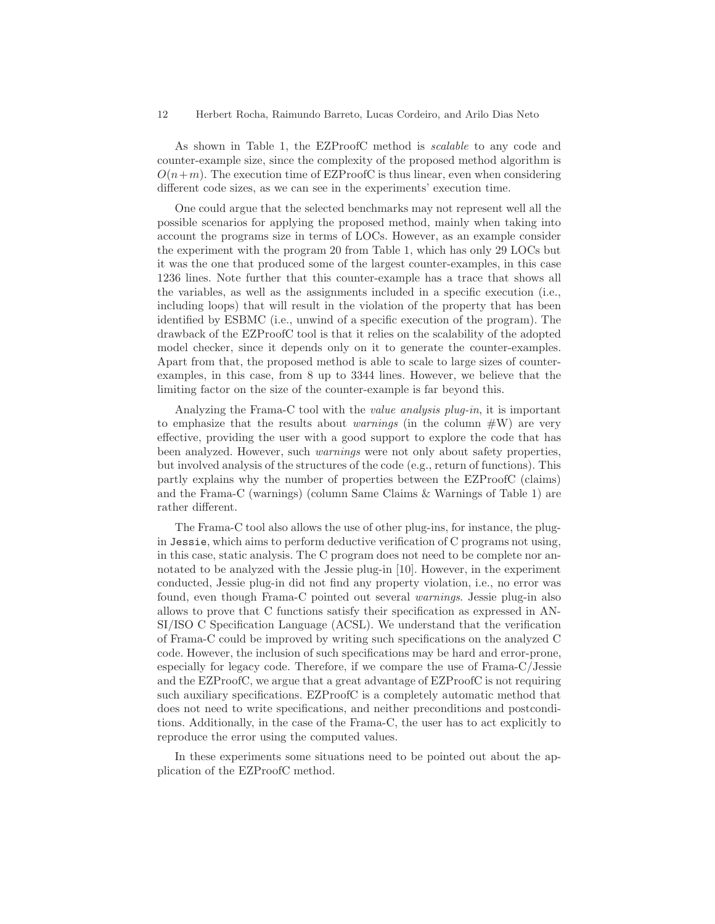As shown in Table 1, the EZProofC method is scalable to any code and counter-example size, since the complexity of the proposed method algorithm is  $O(n+m)$ . The execution time of EZProofC is thus linear, even when considering different code sizes, as we can see in the experiments' execution time.

One could argue that the selected benchmarks may not represent well all the possible scenarios for applying the proposed method, mainly when taking into account the programs size in terms of LOCs. However, as an example consider the experiment with the program 20 from Table 1, which has only 29 LOCs but it was the one that produced some of the largest counter-examples, in this case 1236 lines. Note further that this counter-example has a trace that shows all the variables, as well as the assignments included in a specific execution (i.e., including loops) that will result in the violation of the property that has been identified by ESBMC (i.e., unwind of a specific execution of the program). The drawback of the EZProofC tool is that it relies on the scalability of the adopted model checker, since it depends only on it to generate the counter-examples. Apart from that, the proposed method is able to scale to large sizes of counterexamples, in this case, from 8 up to 3344 lines. However, we believe that the limiting factor on the size of the counter-example is far beyond this.

Analyzing the Frama-C tool with the *value analysis plug-in*, it is important to emphasize that the results about *warnings* (in the column  $\#W$ ) are very effective, providing the user with a good support to explore the code that has been analyzed. However, such warnings were not only about safety properties, but involved analysis of the structures of the code (e.g., return of functions). This partly explains why the number of properties between the EZProofC (claims) and the Frama-C (warnings) (column Same Claims & Warnings of Table 1) are rather different.

The Frama-C tool also allows the use of other plug-ins, for instance, the plugin Jessie, which aims to perform deductive verification of C programs not using, in this case, static analysis. The C program does not need to be complete nor annotated to be analyzed with the Jessie plug-in [10]. However, in the experiment conducted, Jessie plug-in did not find any property violation, i.e., no error was found, even though Frama-C pointed out several warnings. Jessie plug-in also allows to prove that C functions satisfy their specification as expressed in AN-SI/ISO C Specification Language (ACSL). We understand that the verification of Frama-C could be improved by writing such specifications on the analyzed C code. However, the inclusion of such specifications may be hard and error-prone, especially for legacy code. Therefore, if we compare the use of Frama-C/Jessie and the EZProofC, we argue that a great advantage of EZProofC is not requiring such auxiliary specifications. EZProofC is a completely automatic method that does not need to write specifications, and neither preconditions and postconditions. Additionally, in the case of the Frama-C, the user has to act explicitly to reproduce the error using the computed values.

In these experiments some situations need to be pointed out about the application of the EZProofC method.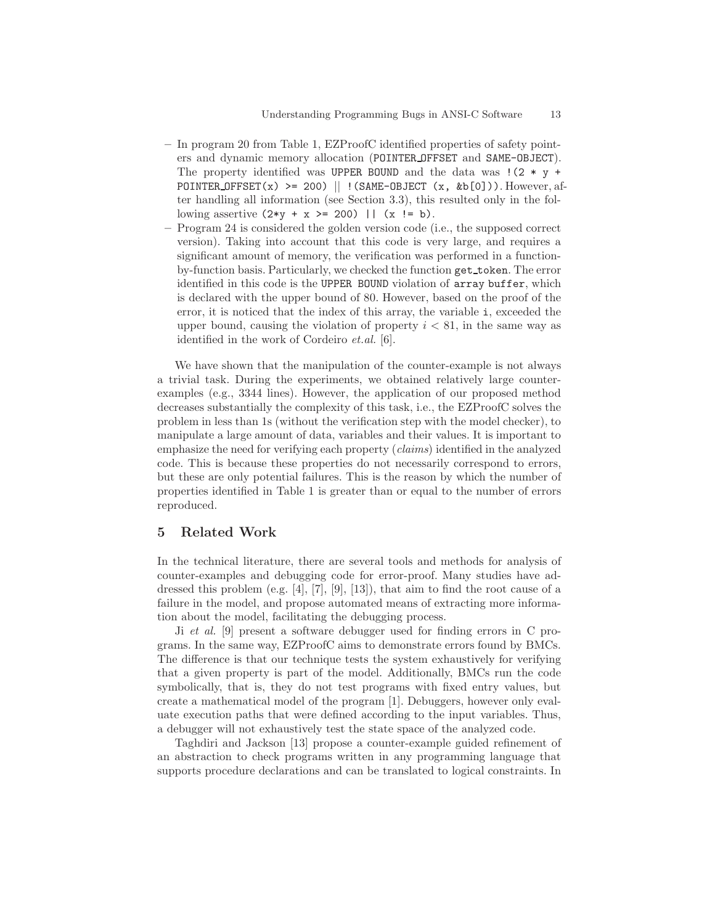- In program 20 from Table 1, EZProofC identified properties of safety pointers and dynamic memory allocation (POINTER OFFSET and SAME-OBJECT). The property identified was UPPER BOUND and the data was  $!(2 \times y +$ POINTER OFFSET(x) >= 200) || !(SAME-OBJECT  $(x, \&b[0])$ ). However, after handling all information (see Section 3.3), this resulted only in the following assertive  $(2*y + x \ge 200)$  ||  $(x != b)$ .
- Program 24 is considered the golden version code (i.e., the supposed correct version). Taking into account that this code is very large, and requires a significant amount of memory, the verification was performed in a functionby-function basis. Particularly, we checked the function get token. The error identified in this code is the UPPER BOUND violation of array buffer, which is declared with the upper bound of 80. However, based on the proof of the error, it is noticed that the index of this array, the variable i, exceeded the upper bound, causing the violation of property  $i < 81$ , in the same way as identified in the work of Cordeiro et.al. [6].

We have shown that the manipulation of the counter-example is not always a trivial task. During the experiments, we obtained relatively large counterexamples (e.g., 3344 lines). However, the application of our proposed method decreases substantially the complexity of this task, i.e., the EZProofC solves the problem in less than 1s (without the verification step with the model checker), to manipulate a large amount of data, variables and their values. It is important to emphasize the need for verifying each property (claims) identified in the analyzed code. This is because these properties do not necessarily correspond to errors, but these are only potential failures. This is the reason by which the number of properties identified in Table 1 is greater than or equal to the number of errors reproduced.

## 5 Related Work

In the technical literature, there are several tools and methods for analysis of counter-examples and debugging code for error-proof. Many studies have addressed this problem (e.g. [4], [7], [9], [13]), that aim to find the root cause of a failure in the model, and propose automated means of extracting more information about the model, facilitating the debugging process.

Ji et al. [9] present a software debugger used for finding errors in C programs. In the same way, EZProofC aims to demonstrate errors found by BMCs. The difference is that our technique tests the system exhaustively for verifying that a given property is part of the model. Additionally, BMCs run the code symbolically, that is, they do not test programs with fixed entry values, but create a mathematical model of the program [1]. Debuggers, however only evaluate execution paths that were defined according to the input variables. Thus, a debugger will not exhaustively test the state space of the analyzed code.

Taghdiri and Jackson [13] propose a counter-example guided refinement of an abstraction to check programs written in any programming language that supports procedure declarations and can be translated to logical constraints. In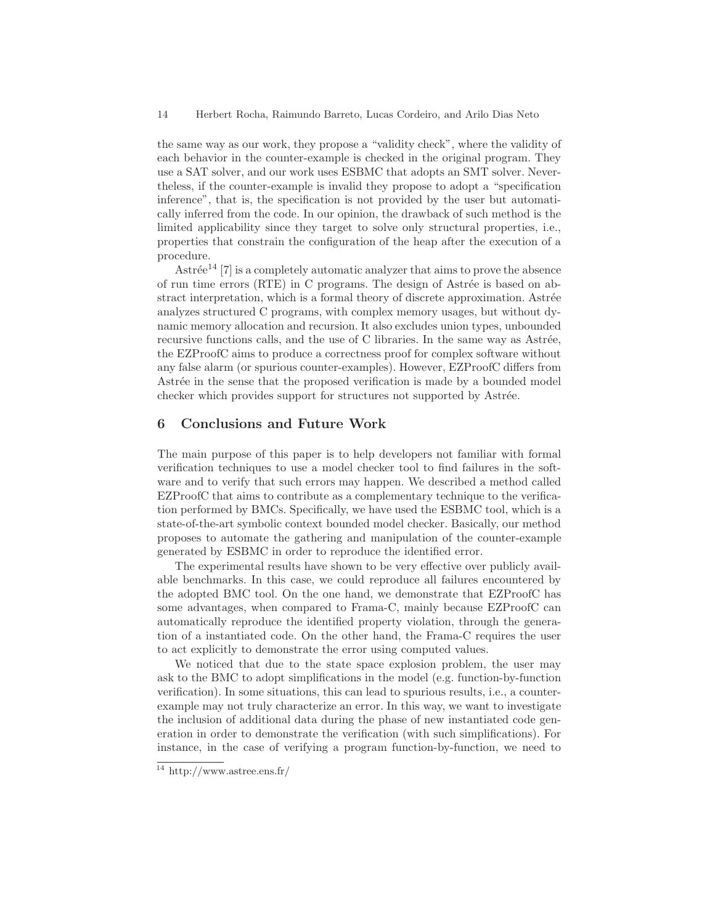the same way as our work, they propose a "validity check", where the validity of each behavior in the counter-example is checked in the original program. They use a SAT solver, and our work uses ESBMC that adopts an SMT solver. Nevertheless, if the counter-example is invalid they propose to adopt a "specification inference", that is, the specification is not provided by the user but automatically inferred from the code. In our opinion, the drawback of such method is the limited applicability since they target to solve only structural properties, i.e., properties that constrain the configuration of the heap after the execution of a procedure.

Astr $\acute{e}e^{14}$  [7] is a completely automatic analyzer that aims to prove the absence of run time errors (RTE) in C programs. The design of Astrée is based on abstract interpretation, which is a formal theory of discrete approximation. Astrée analyzes structured C programs, with complex memory usages, but without dynamic memory allocation and recursion. It also excludes union types, unbounded recursive functions calls, and the use of C libraries. In the same way as Astrée, the EZProofC aims to produce a correctness proof for complex software without any false alarm (or spurious counter-examples). However, EZProofC differs from Astrée in the sense that the proposed verification is made by a bounded model checker which provides support for structures not supported by Astrée.

# 6 Conclusions and Future Work

The main purpose of this paper is to help developers not familiar with formal verification techniques to use a model checker tool to find failures in the software and to verify that such errors may happen. We described a method called EZProofC that aims to contribute as a complementary technique to the verification performed by BMCs. Specifically, we have used the ESBMC tool, which is a state-of-the-art symbolic context bounded model checker. Basically, our method proposes to automate the gathering and manipulation of the counter-example generated by ESBMC in order to reproduce the identified error.

The experimental results have shown to be very effective over publicly available benchmarks. In this case, we could reproduce all failures encountered by the adopted BMC tool. On the one hand, we demonstrate that EZProofC has some advantages, when compared to Frama-C, mainly because EZProofC can automatically reproduce the identified property violation, through the generation of a instantiated code. On the other hand, the Frama-C requires the user to act explicitly to demonstrate the error using computed values.

We noticed that due to the state space explosion problem, the user may ask to the BMC to adopt simplifications in the model (e.g. function-by-function verification). In some situations, this can lead to spurious results, i.e., a counterexample may not truly characterize an error. In this way, we want to investigate the inclusion of additional data during the phase of new instantiated code generation in order to demonstrate the verification (with such simplifications). For instance, in the case of verifying a program function-by-function, we need to

 $\frac{14 \text{ http://www.astree.ens.fr/}}{14 \text{ http://www.astree.ens.fr/}}$